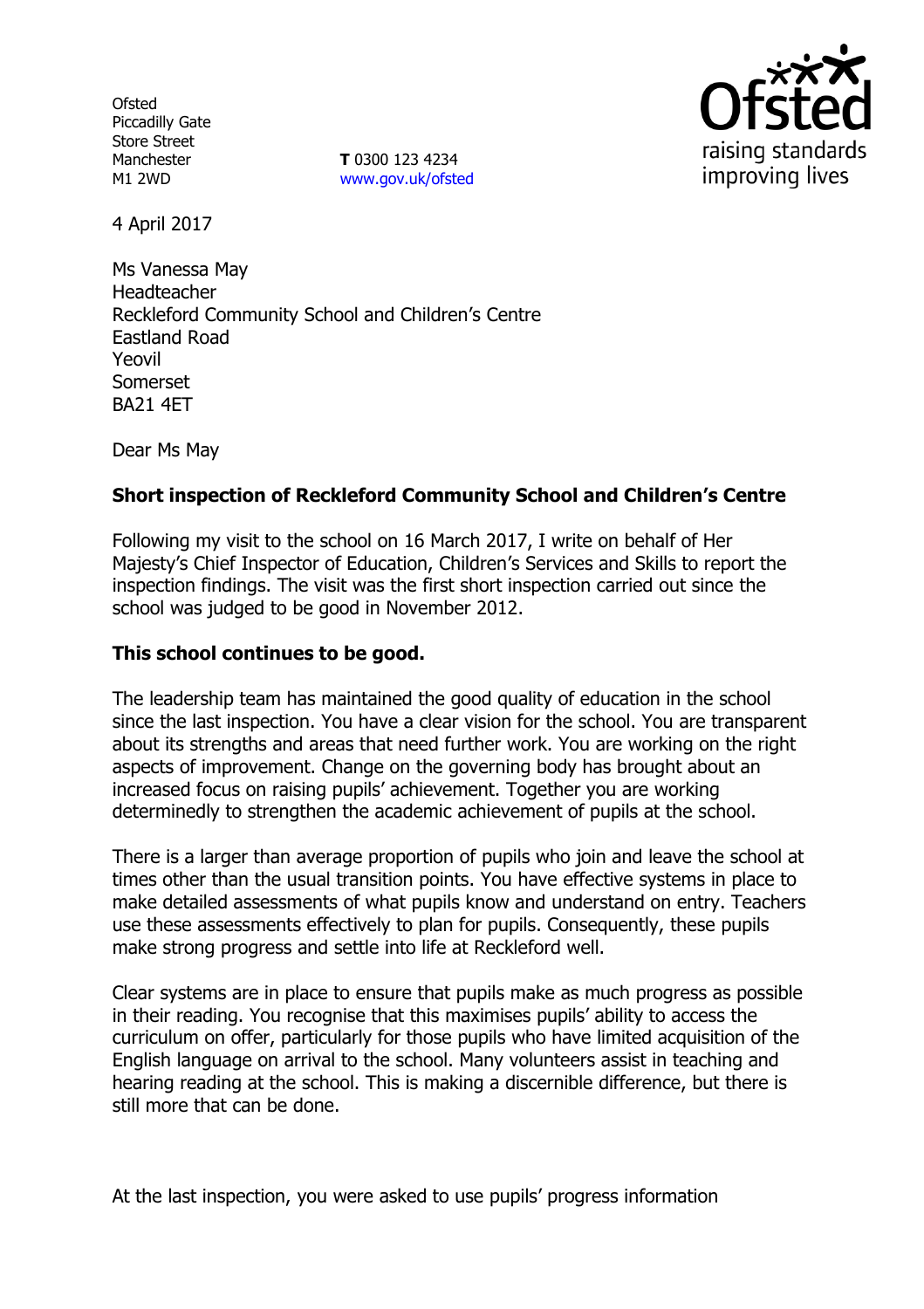**Ofsted** Piccadilly Gate Store Street Manchester M1 2WD

**T** 0300 123 4234 www.gov.uk/ofsted



4 April 2017

Ms Vanessa May Headteacher Reckleford Community School and Children's Centre Eastland Road Yeovil Somerset BA21 4ET

Dear Ms May

## **Short inspection of Reckleford Community School and Children's Centre**

Following my visit to the school on 16 March 2017, I write on behalf of Her Majesty's Chief Inspector of Education, Children's Services and Skills to report the inspection findings. The visit was the first short inspection carried out since the school was judged to be good in November 2012.

#### **This school continues to be good.**

The leadership team has maintained the good quality of education in the school since the last inspection. You have a clear vision for the school. You are transparent about its strengths and areas that need further work. You are working on the right aspects of improvement. Change on the governing body has brought about an increased focus on raising pupils' achievement. Together you are working determinedly to strengthen the academic achievement of pupils at the school.

There is a larger than average proportion of pupils who join and leave the school at times other than the usual transition points. You have effective systems in place to make detailed assessments of what pupils know and understand on entry. Teachers use these assessments effectively to plan for pupils. Consequently, these pupils make strong progress and settle into life at Reckleford well.

Clear systems are in place to ensure that pupils make as much progress as possible in their reading. You recognise that this maximises pupils' ability to access the curriculum on offer, particularly for those pupils who have limited acquisition of the English language on arrival to the school. Many volunteers assist in teaching and hearing reading at the school. This is making a discernible difference, but there is still more that can be done.

At the last inspection, you were asked to use pupils' progress information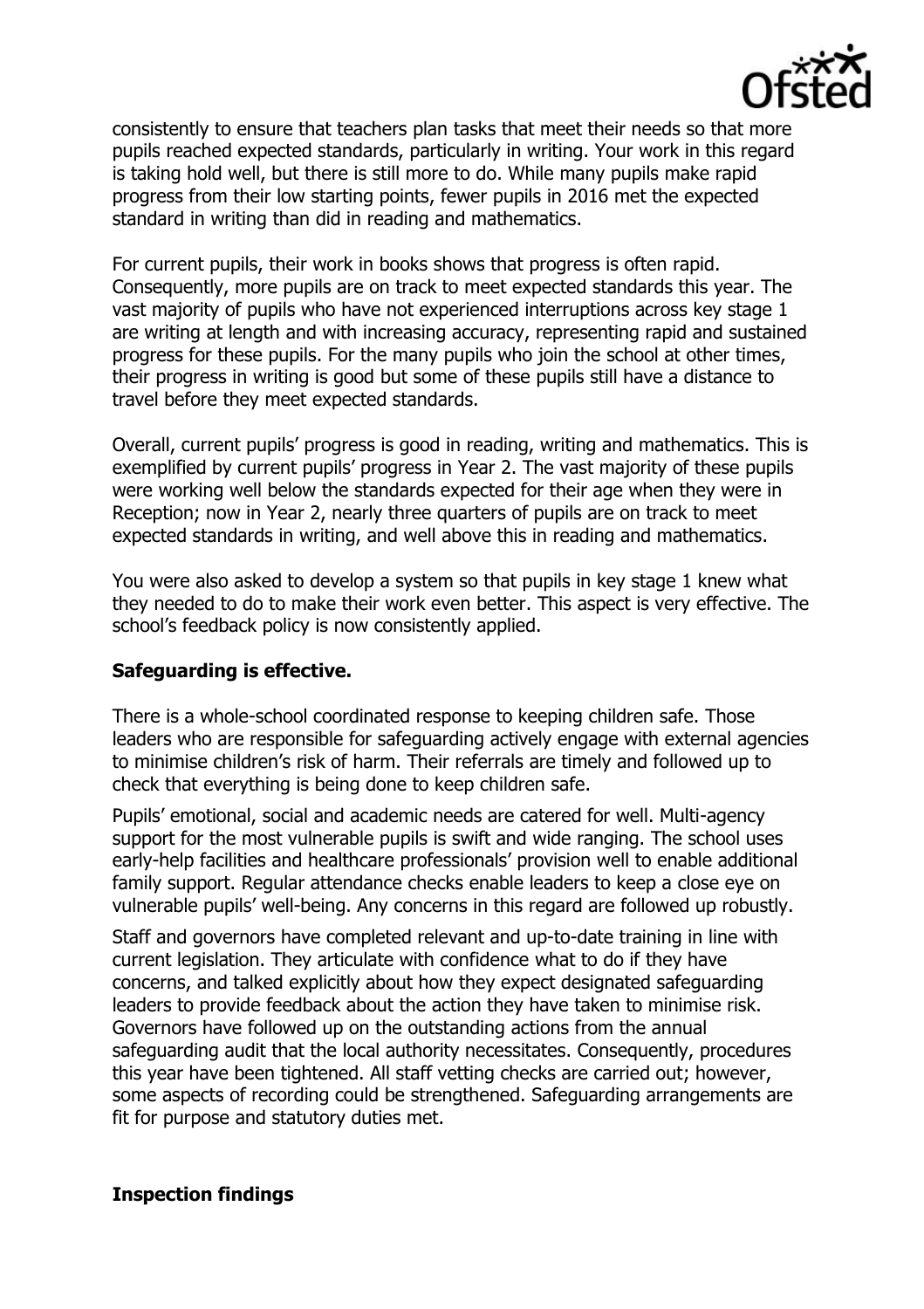

consistently to ensure that teachers plan tasks that meet their needs so that more pupils reached expected standards, particularly in writing. Your work in this regard is taking hold well, but there is still more to do. While many pupils make rapid progress from their low starting points, fewer pupils in 2016 met the expected standard in writing than did in reading and mathematics.

For current pupils, their work in books shows that progress is often rapid. Consequently, more pupils are on track to meet expected standards this year. The vast majority of pupils who have not experienced interruptions across key stage 1 are writing at length and with increasing accuracy, representing rapid and sustained progress for these pupils. For the many pupils who join the school at other times, their progress in writing is good but some of these pupils still have a distance to travel before they meet expected standards.

Overall, current pupils' progress is good in reading, writing and mathematics. This is exemplified by current pupils' progress in Year 2. The vast majority of these pupils were working well below the standards expected for their age when they were in Reception; now in Year 2, nearly three quarters of pupils are on track to meet expected standards in writing, and well above this in reading and mathematics.

You were also asked to develop a system so that pupils in key stage 1 knew what they needed to do to make their work even better. This aspect is very effective. The school's feedback policy is now consistently applied.

### **Safeguarding is effective.**

There is a whole-school coordinated response to keeping children safe. Those leaders who are responsible for safeguarding actively engage with external agencies to minimise children's risk of harm. Their referrals are timely and followed up to check that everything is being done to keep children safe.

Pupils' emotional, social and academic needs are catered for well. Multi-agency support for the most vulnerable pupils is swift and wide ranging. The school uses early-help facilities and healthcare professionals' provision well to enable additional family support. Regular attendance checks enable leaders to keep a close eye on vulnerable pupils' well-being. Any concerns in this regard are followed up robustly.

Staff and governors have completed relevant and up-to-date training in line with current legislation. They articulate with confidence what to do if they have concerns, and talked explicitly about how they expect designated safeguarding leaders to provide feedback about the action they have taken to minimise risk. Governors have followed up on the outstanding actions from the annual safeguarding audit that the local authority necessitates. Consequently, procedures this year have been tightened. All staff vetting checks are carried out; however, some aspects of recording could be strengthened. Safeguarding arrangements are fit for purpose and statutory duties met.

### **Inspection findings**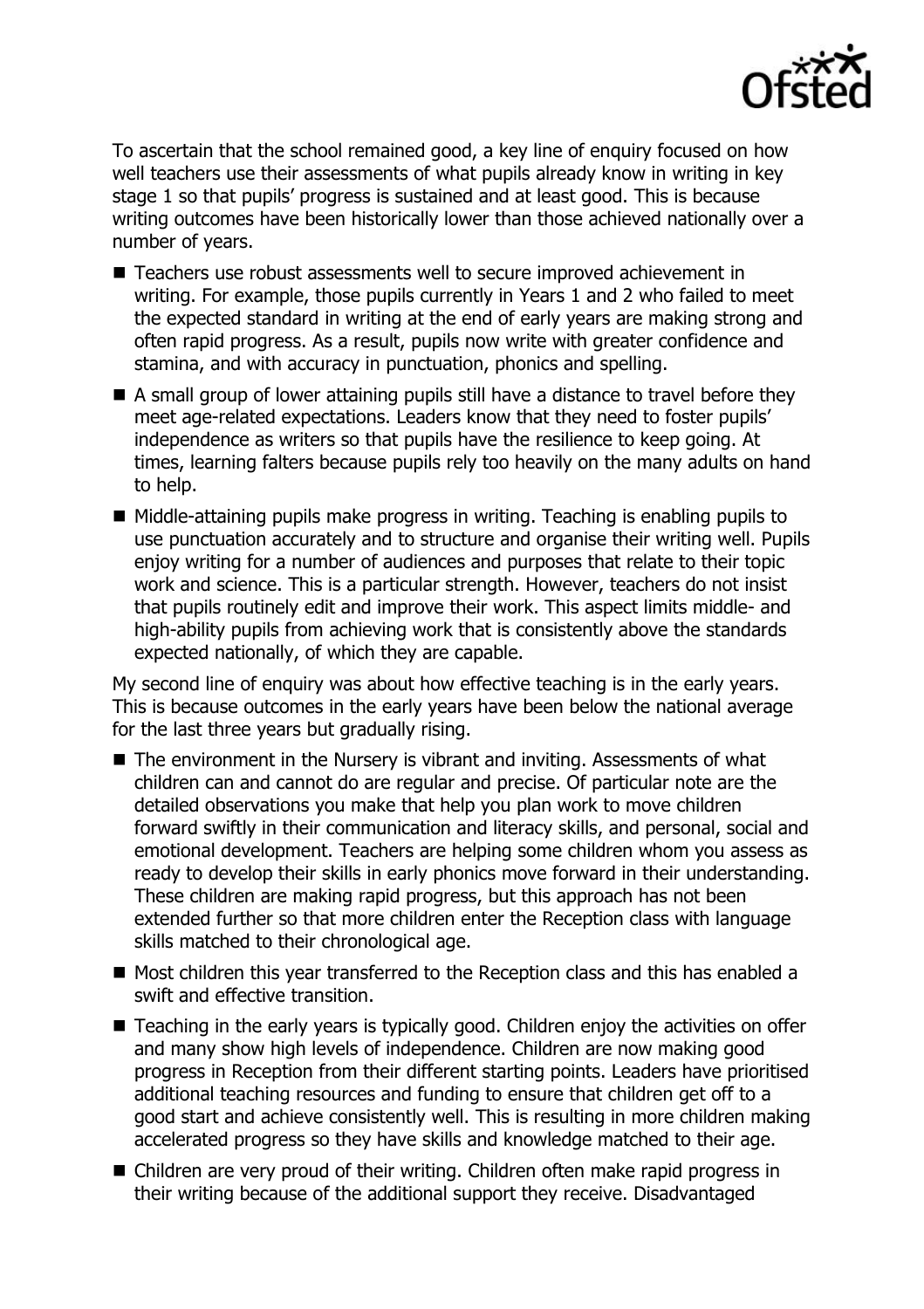

To ascertain that the school remained good, a key line of enquiry focused on how well teachers use their assessments of what pupils already know in writing in key stage 1 so that pupils' progress is sustained and at least good. This is because writing outcomes have been historically lower than those achieved nationally over a number of years.

- Teachers use robust assessments well to secure improved achievement in writing. For example, those pupils currently in Years 1 and 2 who failed to meet the expected standard in writing at the end of early years are making strong and often rapid progress. As a result, pupils now write with greater confidence and stamina, and with accuracy in punctuation, phonics and spelling.
- A small group of lower attaining pupils still have a distance to travel before they meet age-related expectations. Leaders know that they need to foster pupils' independence as writers so that pupils have the resilience to keep going. At times, learning falters because pupils rely too heavily on the many adults on hand to help.
- Middle-attaining pupils make progress in writing. Teaching is enabling pupils to use punctuation accurately and to structure and organise their writing well. Pupils enjoy writing for a number of audiences and purposes that relate to their topic work and science. This is a particular strength. However, teachers do not insist that pupils routinely edit and improve their work. This aspect limits middle- and high-ability pupils from achieving work that is consistently above the standards expected nationally, of which they are capable.

My second line of enquiry was about how effective teaching is in the early years. This is because outcomes in the early years have been below the national average for the last three years but gradually rising.

- The environment in the Nursery is vibrant and inviting. Assessments of what children can and cannot do are regular and precise. Of particular note are the detailed observations you make that help you plan work to move children forward swiftly in their communication and literacy skills, and personal, social and emotional development. Teachers are helping some children whom you assess as ready to develop their skills in early phonics move forward in their understanding. These children are making rapid progress, but this approach has not been extended further so that more children enter the Reception class with language skills matched to their chronological age.
- Most children this year transferred to the Reception class and this has enabled a swift and effective transition.
- Teaching in the early years is typically good. Children enjoy the activities on offer and many show high levels of independence. Children are now making good progress in Reception from their different starting points. Leaders have prioritised additional teaching resources and funding to ensure that children get off to a good start and achieve consistently well. This is resulting in more children making accelerated progress so they have skills and knowledge matched to their age.
- Children are very proud of their writing. Children often make rapid progress in their writing because of the additional support they receive. Disadvantaged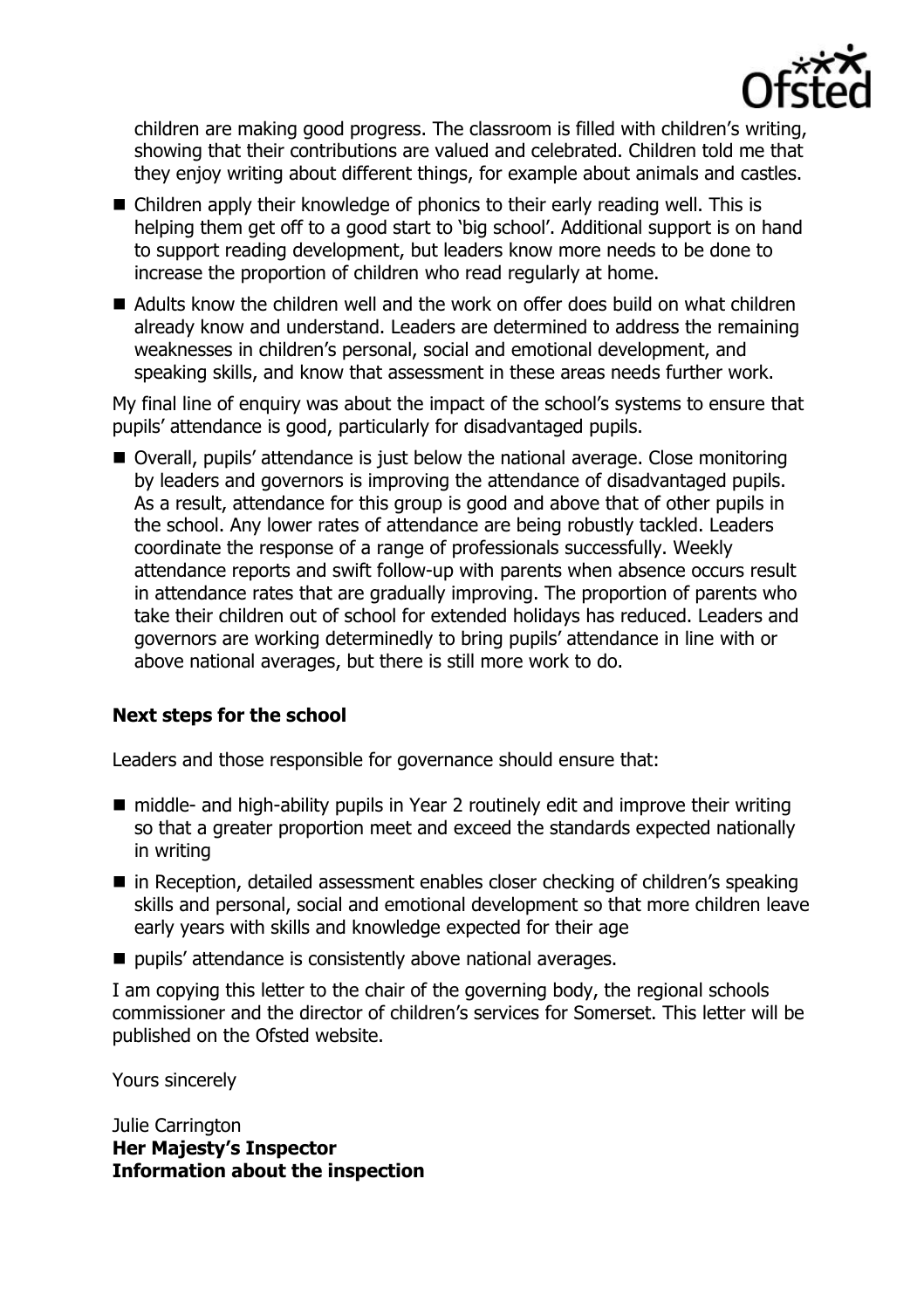

children are making good progress. The classroom is filled with children's writing, showing that their contributions are valued and celebrated. Children told me that they enjoy writing about different things, for example about animals and castles.

- Children apply their knowledge of phonics to their early reading well. This is helping them get off to a good start to 'big school'. Additional support is on hand to support reading development, but leaders know more needs to be done to increase the proportion of children who read regularly at home.
- $\blacksquare$  Adults know the children well and the work on offer does build on what children already know and understand. Leaders are determined to address the remaining weaknesses in children's personal, social and emotional development, and speaking skills, and know that assessment in these areas needs further work.

My final line of enquiry was about the impact of the school's systems to ensure that pupils' attendance is good, particularly for disadvantaged pupils.

■ Overall, pupils' attendance is just below the national average. Close monitoring by leaders and governors is improving the attendance of disadvantaged pupils. As a result, attendance for this group is good and above that of other pupils in the school. Any lower rates of attendance are being robustly tackled. Leaders coordinate the response of a range of professionals successfully. Weekly attendance reports and swift follow-up with parents when absence occurs result in attendance rates that are gradually improving. The proportion of parents who take their children out of school for extended holidays has reduced. Leaders and governors are working determinedly to bring pupils' attendance in line with or above national averages, but there is still more work to do.

# **Next steps for the school**

Leaders and those responsible for governance should ensure that:

- middle- and high-ability pupils in Year 2 routinely edit and improve their writing so that a greater proportion meet and exceed the standards expected nationally in writing
- in Reception, detailed assessment enables closer checking of children's speaking skills and personal, social and emotional development so that more children leave early years with skills and knowledge expected for their age
- pupils' attendance is consistently above national averages.

I am copying this letter to the chair of the governing body, the regional schools commissioner and the director of children's services for Somerset. This letter will be published on the Ofsted website.

Yours sincerely

Julie Carrington **Her Majesty's Inspector Information about the inspection**